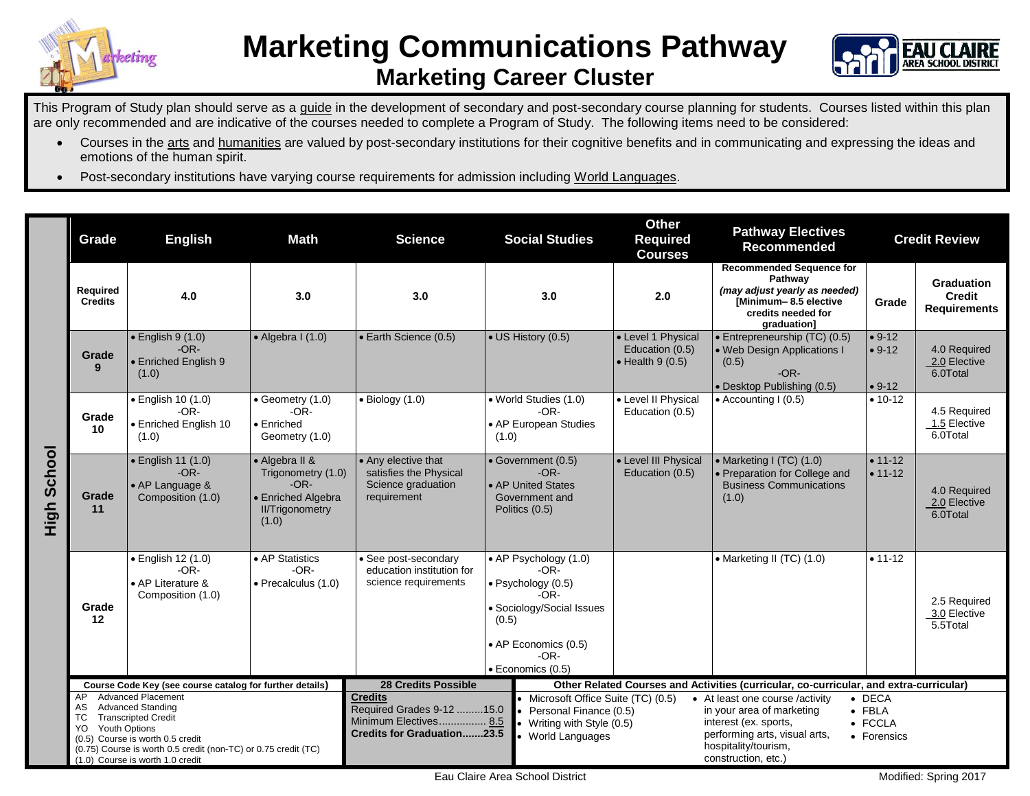



This Program of Study plan should serve as a guide in the development of secondary and post-secondary course planning for students. Courses listed within this plan are only recommended and are indicative of the courses needed to complete a Program of Study. The following items need to be considered:

- Courses in the arts and humanities are valued by post-secondary institutions for their cognitive benefits and in communicating and expressing the ideas and emotions of the human spirit.
- Post-secondary institutions have varying course requirements for admission including World Languages.

|                    | Grade                                                                                                                                                                                                                                       | <b>English</b><br><b>Math</b>                                                                                                                                                           |                                                          | <b>Social Studies</b><br><b>Science</b>                                                                   |                                                                                                                                                              | <b>Other</b><br><b>Pathway Electives</b><br><b>Required</b><br><b>Recommended</b><br><b>Courses</b>      |                                                                                                                                                                       | <b>Credit Review</b>                     |                                                           |
|--------------------|---------------------------------------------------------------------------------------------------------------------------------------------------------------------------------------------------------------------------------------------|-----------------------------------------------------------------------------------------------------------------------------------------------------------------------------------------|----------------------------------------------------------|-----------------------------------------------------------------------------------------------------------|--------------------------------------------------------------------------------------------------------------------------------------------------------------|----------------------------------------------------------------------------------------------------------|-----------------------------------------------------------------------------------------------------------------------------------------------------------------------|------------------------------------------|-----------------------------------------------------------|
|                    | Required<br><b>Credits</b>                                                                                                                                                                                                                  | 4.0                                                                                                                                                                                     | 3.0                                                      | 3.0                                                                                                       | 3.0                                                                                                                                                          | 2.0                                                                                                      | <b>Recommended Sequence for</b><br>Pathway<br>(may adjust yearly as needed)<br>[Minimum-8.5 elective<br>credits needed for<br><b>graduation1</b>                      | Grade                                    | <b>Graduation</b><br><b>Credit</b><br><b>Requirements</b> |
|                    | Grade<br>9                                                                                                                                                                                                                                  | $\bullet$ English 9 (1.0)<br>$-OR-$<br><b>Enriched English 9</b><br>(1.0)                                                                                                               | $\bullet$ Algebra I (1.0)                                | • Earth Science (0.5)                                                                                     | • US History (0.5)                                                                                                                                           | • Level 1 Physical<br>Education (0.5)<br>$\bullet$ Health 9 (0.5)                                        | • Entrepreneurship (TC) (0.5)<br>. Web Design Applications I<br>(0.5)<br>$-OR-$<br>• Desktop Publishing (0.5)                                                         | $• 9-12$<br>$• 9-12$<br>$• 9-12$         | 4.0 Required<br>2.0 Elective<br>6.0Total                  |
| <b>High School</b> | Grade<br>10                                                                                                                                                                                                                                 | • English 10 (1.0)<br>$-OR-$<br>• Enriched English 10<br>(1.0)                                                                                                                          | Geometry (1.0)<br>$-OR-$<br>• Enriched<br>Geometry (1.0) | $\bullet$ Biology (1.0)                                                                                   | • World Studies (1.0)<br>$-OR-$<br>• AP European Studies<br>(1.0)                                                                                            | • Level II Physical<br>Education (0.5)<br>• Level III Physical                                           | $\bullet$ Accounting I (0.5)                                                                                                                                          | $• 10-12$                                | 4.5 Required<br>1.5 Elective<br>6.0Total                  |
|                    | Grade<br>11                                                                                                                                                                                                                                 | $\bullet$ English 11 (1.0)<br>• Algebra II &<br>$-OR-$<br>Trigonometry (1.0)<br>$-OR-$<br>• AP Language &<br>• Enriched Algebra<br>Composition (1.0)<br><b>II/Trigonometry</b><br>(1.0) |                                                          | • Any elective that<br>satisfies the Physical<br>Science graduation<br>requirement                        | • Government (0.5)<br>$-OR-$<br>• AP United States<br>Government and<br>Politics (0.5)                                                                       |                                                                                                          | • Marketing I $(TC)$ $(1.0)$<br>· Preparation for College and<br><b>Business Communications</b><br>(1.0)                                                              | $• 11-12$<br>$• 11 - 12$                 | 4.0 Required<br>2.0 Elective<br>6.0Total                  |
|                    | Grade<br>12                                                                                                                                                                                                                                 | • English 12 (1.0)<br>$-OR-$<br>• AP Literature &<br>Composition (1.0)                                                                                                                  | • AP Statistics<br>$-OR-$<br>$\bullet$ Precalculus (1.0) | • See post-secondary<br>education institution for<br>science requirements                                 | • AP Psychology (1.0)<br>$-OR-$<br>· Psychology (0.5)<br>$-OR-$<br>· Sociology/Social Issues<br>(0.5)<br>• AP Economics (0.5)<br>$-OR-$<br>· Economics (0.5) |                                                                                                          | • Marketing II (TC) (1.0)                                                                                                                                             | $• 11 - 12$                              | 2.5 Required<br>3.0 Elective<br>5.5Total                  |
|                    | Course Code Key (see course catalog for further details)<br><b>Advanced Placement</b><br>AP.                                                                                                                                                |                                                                                                                                                                                         |                                                          | <b>28 Credits Possible</b>                                                                                |                                                                                                                                                              | Other Related Courses and Activities (curricular, co-curricular, and extra-curricular)<br>$\bullet$ DECA |                                                                                                                                                                       |                                          |                                                           |
|                    | <b>Advanced Standing</b><br>AS<br><b>Transcripted Credit</b><br>ТC<br><b>Youth Options</b><br>YO.<br>(0.5) Course is worth 0.5 credit<br>(0.75) Course is worth 0.5 credit (non-TC) or 0.75 credit (TC)<br>(1.0) Course is worth 1.0 credit |                                                                                                                                                                                         |                                                          | <b>Credits</b><br>Required Grades 9-12 15.0<br>Minimum Electives 8.5<br><b>Credits for Graduation23.5</b> | • Microsoft Office Suite (TC) (0.5)<br>Personal Finance (0.5)<br>• Writing with Style (0.5)<br>• World Languages                                             |                                                                                                          | • At least one course /activity<br>in your area of marketing<br>interest (ex. sports,<br>performing arts, visual arts,<br>hospitality/tourism,<br>construction, etc.) | $\bullet$ FBLA<br>• FCCLA<br>• Forensics |                                                           |